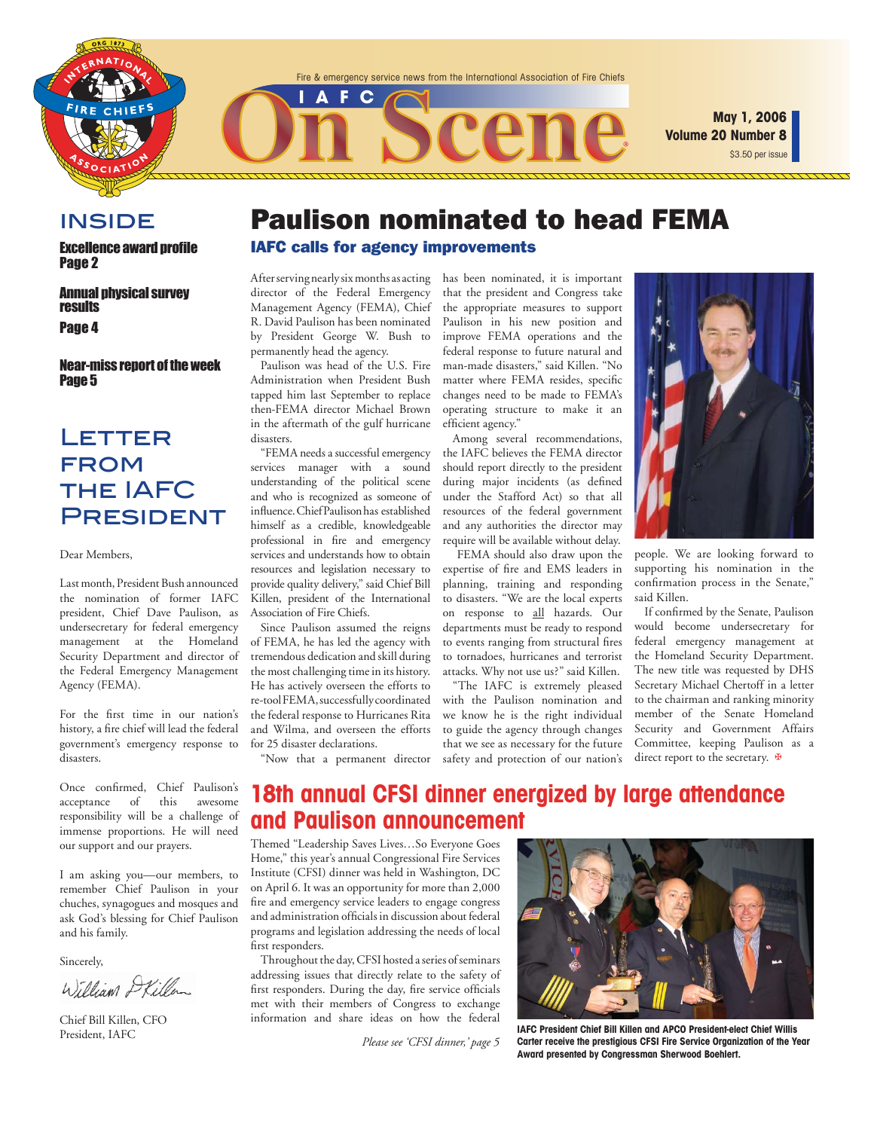

\$3.50 per issue **May 1, 2006 Volume 20 Number 8**

### **INSIDE**

**Excellence award profile** Page 2

Annual physical survey results Page 4

Near-miss report of the week Page 5

### **LETTER FROM** the IAFC President

Dear Members,

Last month, President Bush announced the nomination of former IAFC president, Chief Dave Paulison, as undersecretary for federal emergency management at the Homeland Security Department and director of the Federal Emergency Management Agency (FEMA).

For the first time in our nation's history, a fire chief will lead the federal government's emergency response to disasters.

Once confirmed, Chief Paulison's acceptance of this awesome responsibility will be a challenge of immense proportions. He will need our support and our prayers.

I am asking you—our members, to remember Chief Paulison in your chuches, synagogues and mosques and ask God's blessing for Chief Paulison and his family.

Sincerely,

William Skiller

Chief Bill Killen, CFO

### Paulison nominated to head FEMA IAFC calls for agency improvements

After serving nearly six months as acting director of the Federal Emergency Management Agency (FEMA), Chief R. David Paulison has been nominated by President George W. Bush to permanently head the agency.

**FC** 

Paulison was head of the U.S. Fire Administration when President Bush tapped him last September to replace then-FEMA director Michael Brown in the aftermath of the gulf hurricane disasters.

"FEMA needs a successful emergency services manager with a sound understanding of the political scene and who is recognized as someone of influence. Chief Paulison has established himself as a credible, knowledgeable professional in fire and emergency services and understands how to obtain resources and legislation necessary to provide quality delivery," said Chief Bill Killen, president of the International Association of Fire Chiefs.

Since Paulison assumed the reigns of FEMA, he has led the agency with tremendous dedication and skill during the most challenging time in its history. He has actively overseen the efforts to re-tool FEMA, successfully coordinated the federal response to Hurricanes Rita and Wilma, and overseen the efforts for 25 disaster declarations.

"Now that a permanent director

has been nominated, it is important that the president and Congress take the appropriate measures to support Paulison in his new position and improve FEMA operations and the federal response to future natural and man-made disasters," said Killen. "No matter where FEMA resides, specific changes need to be made to FEMA's operating structure to make it an efficient agency."

Among several recommendations, the IAFC believes the FEMA director should report directly to the president during major incidents (as defined under the Stafford Act) so that all resources of the federal government and any authorities the director may require will be available without delay.

 FEMA should also draw upon the expertise of fire and EMS leaders in planning, training and responding to disasters. "We are the local experts on response to all hazards. Our departments must be ready to respond to events ranging from structural fires to tornadoes, hurricanes and terrorist attacks. Why not use us?" said Killen.

"The IAFC is extremely pleased with the Paulison nomination and we know he is the right individual to guide the agency through changes that we see as necessary for the future safety and protection of our nation's



people. We are looking forward to supporting his nomination in the confirmation process in the Senate," said Killen.

If confirmed by the Senate, Paulison would become undersecretary for federal emergency management at the Homeland Security Department. The new title was requested by DHS Secretary Michael Chertoff in a letter to the chairman and ranking minority member of the Senate Homeland Security and Government Affairs Committee, keeping Paulison as a direct report to the secretary.  $\mathbf{\Psi}$ 

### **18th annual CFSI dinner energized by large attendance and Paulison announcement**

Themed "Leadership Saves Lives…So Everyone Goes Home," this year's annual Congressional Fire Services Institute (CFSI) dinner was held in Washington, DC on April 6. It was an opportunity for more than 2,000 fire and emergency service leaders to engage congress and administration officials in discussion about federal programs and legislation addressing the needs of local first responders.

Throughout the day, CFSI hosted a series of seminars addressing issues that directly relate to the safety of first responders. During the day, fire service officials met with their members of Congress to exchange information and share ideas on how the federal

Please see 'CFSI dinner,' page 5



**IAFC President Chief Bill Killen and APCO President-elect Chief Willis Carter receive the prestigious CFSI Fire Service Organization of the Year Award presented by Congressman Sherwood Boehlert.**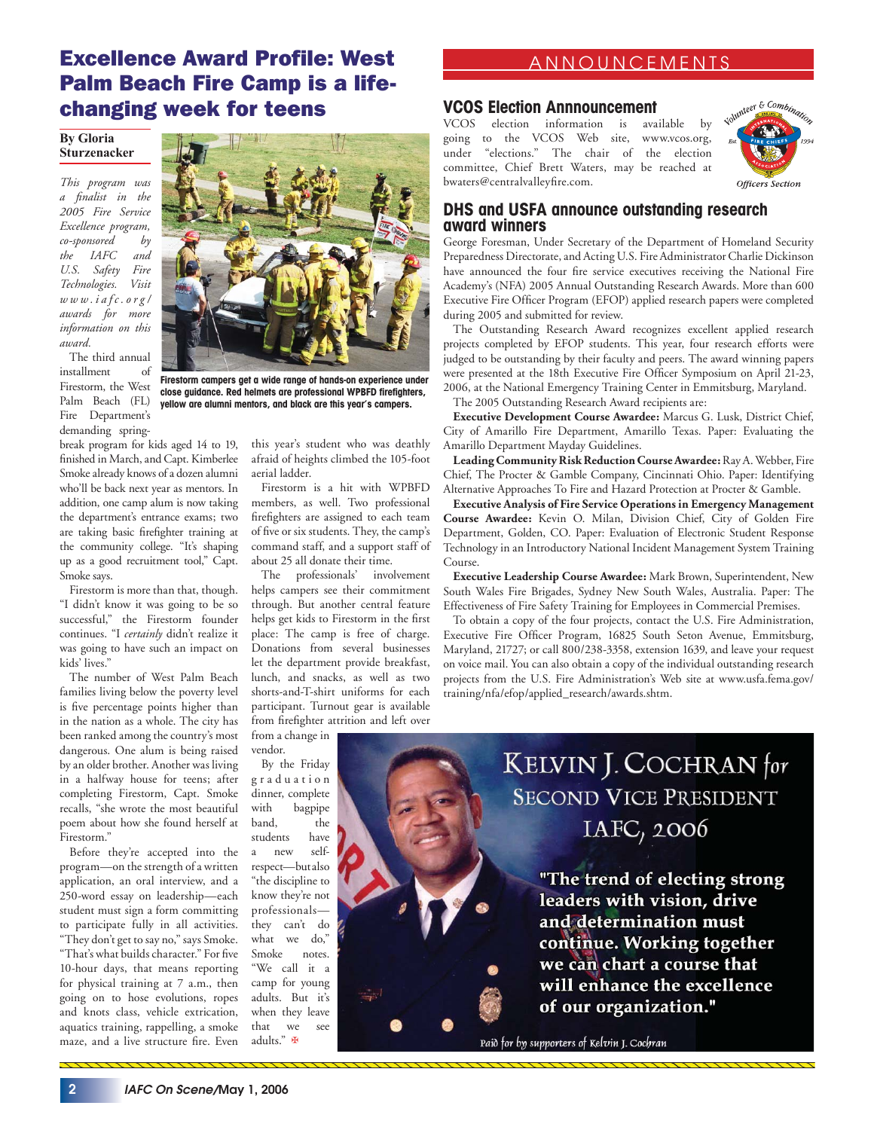### Excellence Award Profile: West Palm Beach Fire Camp is a lifechanging week for teens

#### **By Gloria Sturzenacker**

*This program was a fi nalist in the 2005 Fire Service Excellence program, co-sponsored by the IAFC and U.S. Safety Fire Technologies. Visit www.iafc.org/ awards for more information on this award.*

The third annual installment of Firestorm, the West Palm Beach (FL) Fire Department's demanding spring-

break program for kids aged 14 to 19, finished in March, and Capt. Kimberlee Smoke already knows of a dozen alumni who'll be back next year as mentors. In addition, one camp alum is now taking the department's entrance exams; two are taking basic firefighter training at the community college. "It's shaping up as a good recruitment tool," Capt. Smoke says.

Firestorm is more than that, though. "I didn't know it was going to be so successful," the Firestorm founder continues. "I *certainly* didn't realize it was going to have such an impact on kids' lives.'

The number of West Palm Beach families living below the poverty level is five percentage points higher than in the nation as a whole. The city has been ranked among the country's most dangerous. One alum is being raised by an older brother. Another was living in a halfway house for teens; after completing Firestorm, Capt. Smoke recalls, "she wrote the most beautiful poem about how she found herself at Firestorm."

Before they're accepted into the program—on the strength of a written application, an oral interview, and a 250-word essay on leadership—each student must sign a form committing to participate fully in all activities. "They don't get to say no," says Smoke. "That's what builds character." For five 10-hour days, that means reporting for physical training at 7 a.m., then going on to hose evolutions, ropes and knots class, vehicle extrication, aquatics training, rappelling, a smoke maze, and a live structure fire. Even



**Firestorm campers get a wide range of hands-on experience under**  close guidance. Red helmets are professional WPBFD firefighters, **yellow are alumni mentors, and black are this year's campers.**

this year's student who was deathly afraid of heights climbed the 105-foot aerial ladder.

Firestorm is a hit with WPBFD members, as well. Two professional firefighters are assigned to each team of five or six students. They, the camp's command staff, and a support staff of about 25 all donate their time.

The professionals' involvement helps campers see their commitment through. But another central feature helps get kids to Firestorm in the first place: The camp is free of charge. Donations from several businesses let the department provide breakfast, lunch, and snacks, as well as two shorts-and-T-shirt uniforms for each participant. Turnout gear is available from firefighter attrition and left over

from a change in vendor.

By the Friday g r a d u a t i o n dinner, complete with bagpipe band, the students have a new selfrespect—but also "the discipline to know they're not professionals they can't do what we do," Smoke notes. "We call it a camp for young adults. But it's when they leave that we see adults." ✠

### ANNOUNCEMENTS

### **VCOS Election Annnouncement**

VCOS election information is available by going to the VCOS Web site, www.vcos.org, under "elections." The chair of the election committee, Chief Brett Waters, may be reached at bwaters@centralvalleyfire.com.



### **DHS and USFA announce outstanding research award winners**

George Foresman, Under Secretary of the Department of Homeland Security Preparedness Directorate, and Acting U.S. Fire Administrator Charlie Dickinson have announced the four fire service executives receiving the National Fire Academy's (NFA) 2005 Annual Outstanding Research Awards. More than 600 Executive Fire Officer Program (EFOP) applied research papers were completed during 2005 and submitted for review.

The Outstanding Research Award recognizes excellent applied research projects completed by EFOP students. This year, four research efforts were judged to be outstanding by their faculty and peers. The award winning papers were presented at the 18th Executive Fire Officer Symposium on April 21-23, 2006, at the National Emergency Training Center in Emmitsburg, Maryland.

The 2005 Outstanding Research Award recipients are:

**Executive Development Course Awardee:** Marcus G. Lusk, District Chief, City of Amarillo Fire Department, Amarillo Texas. Paper: Evaluating the Amarillo Department Mayday Guidelines.

**Leading Community Risk Reduction Course Awardee:** Ray A. Webber, Fire Chief, The Procter & Gamble Company, Cincinnati Ohio. Paper: Identifying Alternative Approaches To Fire and Hazard Protection at Procter & Gamble.

**Executive Analysis of Fire Service Operations in Emergency Management Course Awardee:** Kevin O. Milan, Division Chief, City of Golden Fire Department, Golden, CO. Paper: Evaluation of Electronic Student Response Technology in an Introductory National Incident Management System Training Course.

**Executive Leadership Course Awardee:** Mark Brown, Superintendent, New South Wales Fire Brigades, Sydney New South Wales, Australia. Paper: The Effectiveness of Fire Safety Training for Employees in Commercial Premises.

To obtain a copy of the four projects, contact the U.S. Fire Administration, Executive Fire Officer Program, 16825 South Seton Avenue, Emmitsburg, Maryland, 21727; or call 800/238-3358, extension 1639, and leave your request on voice mail. You can also obtain a copy of the individual outstanding research projects from the U.S. Fire Administration's Web site at www.usfa.fema.gov/ training/nfa/efop/applied\_research/awards.shtm.



KELVIN J. COCHRAN for **SECOND VICE PRESIDENT** IAFC, 2006

> "The trend of electing strong leaders with vision, drive and determination must continue. Working together we can chart a course that will enhance the excellence of our organization."

Paid for by supporters of Kelvin J. Cochran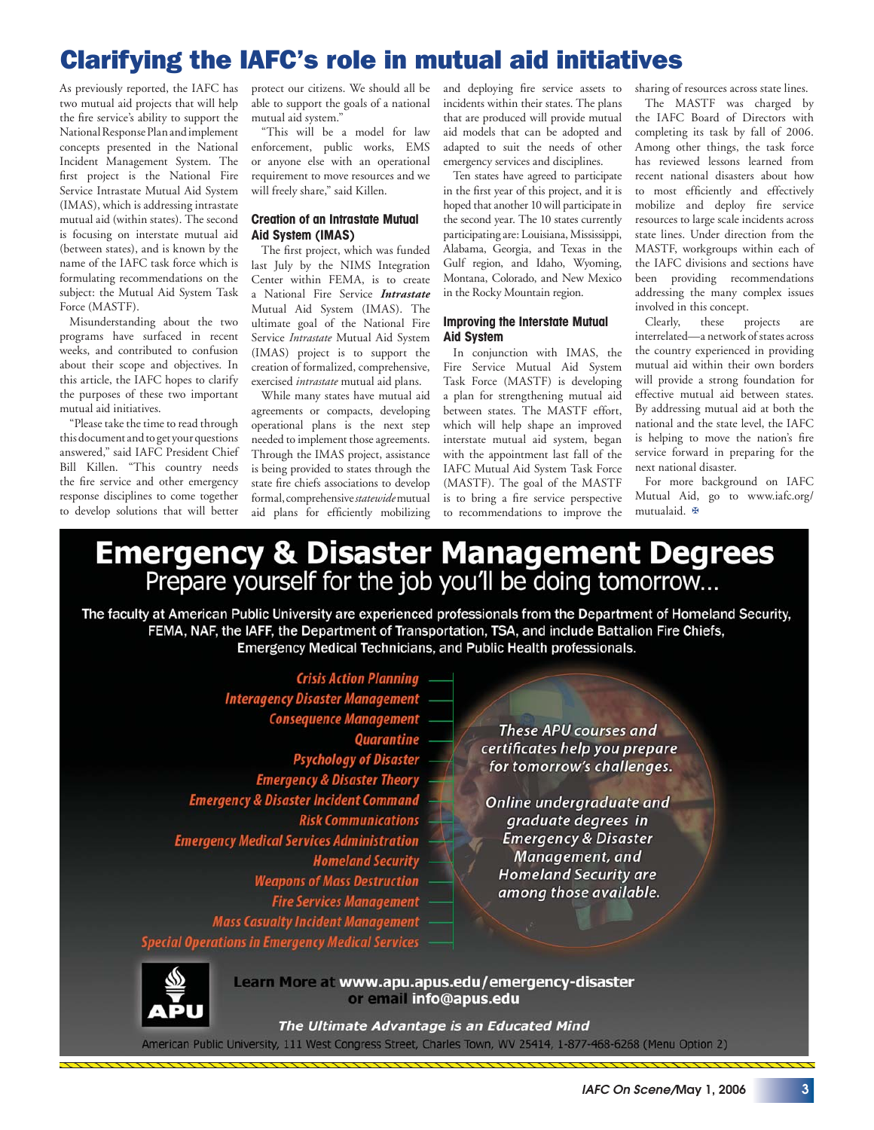## Clarifying the IAFC's role in mutual aid initiatives

As previously reported, the IAFC has two mutual aid projects that will help the fire service's ability to support the National Response Plan and implement concepts presented in the National Incident Management System. The first project is the National Fire Service Intrastate Mutual Aid System (IMAS), which is addressing intrastate mutual aid (within states). The second is focusing on interstate mutual aid (between states), and is known by the name of the IAFC task force which is formulating recommendations on the subject: the Mutual Aid System Task Force (MASTF).

Misunderstanding about the two programs have surfaced in recent weeks, and contributed to confusion about their scope and objectives. In this article, the IAFC hopes to clarify the purposes of these two important mutual aid initiatives.

"Please take the time to read through this document and to get your questions answered," said IAFC President Chief Bill Killen. "This country needs the fire service and other emergency response disciplines to come together to develop solutions that will better

protect our citizens. We should all be able to support the goals of a national mutual aid system."

"This will be a model for law enforcement, public works, EMS or anyone else with an operational requirement to move resources and we will freely share," said Killen.

#### **Creation of an Intrastate Mutual Aid System (IMAS)**

The first project, which was funded last July by the NIMS Integration Center within FEMA, is to create a National Fire Service *Intrastate* Mutual Aid System (IMAS). The ultimate goal of the National Fire Service *Intrastate* Mutual Aid System (IMAS) project is to support the creation of formalized, comprehensive, exercised *intrastate* mutual aid plans.

While many states have mutual aid agreements or compacts, developing operational plans is the next step needed to implement those agreements. Through the IMAS project, assistance is being provided to states through the state fire chiefs associations to develop formal, comprehensive *statewide* mutual aid plans for efficiently mobilizing

and deploying fire service assets to incidents within their states. The plans that are produced will provide mutual aid models that can be adopted and adapted to suit the needs of other emergency services and disciplines.

Ten states have agreed to participate in the first year of this project, and it is hoped that another 10 will participate in the second year. The 10 states currently participating are: Louisiana, Mississippi, Alabama, Georgia, and Texas in the Gulf region, and Idaho, Wyoming, Montana, Colorado, and New Mexico in the Rocky Mountain region.

#### **Improving the Interstate Mutual Aid System**

In conjunction with IMAS, the Fire Service Mutual Aid System Task Force (MASTF) is developing a plan for strengthening mutual aid between states. The MASTF effort, which will help shape an improved interstate mutual aid system, began with the appointment last fall of the IAFC Mutual Aid System Task Force (MASTF). The goal of the MASTF is to bring a fire service perspective to recommendations to improve the

sharing of resources across state lines.

The MASTF was charged by the IAFC Board of Directors with completing its task by fall of 2006. Among other things, the task force has reviewed lessons learned from recent national disasters about how to most efficiently and effectively mobilize and deploy fire service resources to large scale incidents across state lines. Under direction from the MASTF, workgroups within each of the IAFC divisions and sections have been providing recommendations addressing the many complex issues involved in this concept.<br>Clearly, these p

projects are interrelated—a network of states across the country experienced in providing mutual aid within their own borders will provide a strong foundation for effective mutual aid between states. By addressing mutual aid at both the national and the state level, the IAFC is helping to move the nation's fire service forward in preparing for the next national disaster.

For more background on IAFC Mutual Aid, go to www.iafc.org/ mutualaid. ✠

# **Emergency & Disaster Management Degrees**<br>Prepare yourself for the job you'll be doing tomorrow...

The faculty at American Public University are experienced professionals from the Department of Homeland Security, FEMA, NAF, the IAFF, the Department of Transportation, TSA, and include Battalion Fire Chiefs, **Emergency Medical Technicians, and Public Health professionals.** 

**Crisis Action Planning Interagency Disaster Management Consequence Management Quarantine Psychology of Disaster Emergency & Disaster Theory Emergency & Disaster Incident Command Risk Communications Emergency Medical Services Administration Homeland Security Weapons of Mass Destruction Fire Services Management Mass Casualty Incident Management Special Operations in Emergency Medical Services** 

These APU courses and certificates help you prepare for tomorrow's challenges.

Online undergraduate and graduate degrees in **Emergency & Disaster** Management, and **Homeland Security are** among those available.

Learn More at www.apu.apus.edu/emergency-disaster or email info@apus.edu

The Ultimate Advantage is an Educated Mind American Public University, 111 West Congress Street, Charles Town, WV 25414, 1-877-468-6268 (Menu Option 2)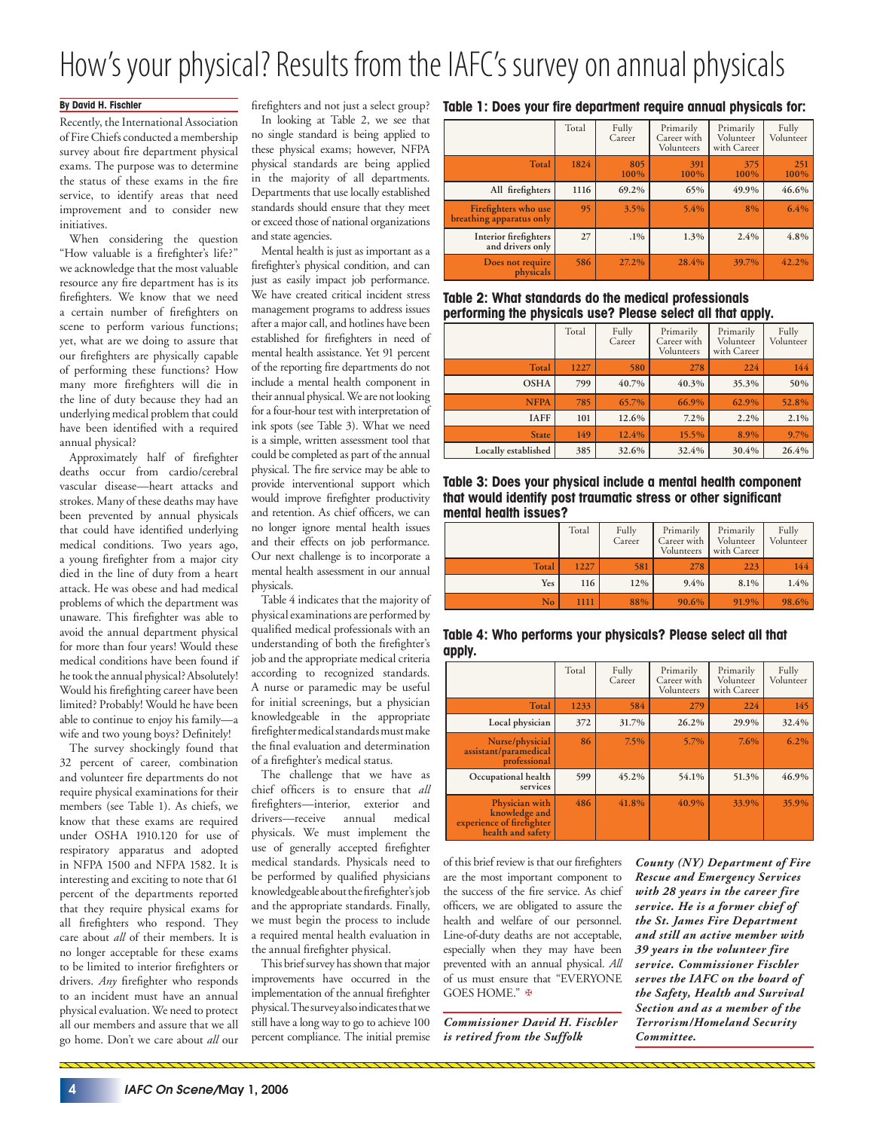# How's your physical? Results from the IAFC's survey on annual physicals

### **By David H. Fischler**

Recently, the International Association of Fire Chiefs conducted a membership survey about fire department physical exams. The purpose was to determine the status of these exams in the fire service, to identify areas that need improvement and to consider new initiatives.

When considering the question "How valuable is a firefighter's life?" we acknowledge that the most valuable resource any fire department has is its firefighters. We know that we need a certain number of firefighters on scene to perform various functions; yet, what are we doing to assure that our firefighters are physically capable of performing these functions? How many more firefighters will die in the line of duty because they had an underlying medical problem that could have been identified with a required annual physical?

Approximately half of firefighter deaths occur from cardio/cerebral vascular disease—heart attacks and strokes. Many of these deaths may have been prevented by annual physicals that could have identified underlying medical conditions. Two years ago, a young firefighter from a major city died in the line of duty from a heart attack. He was obese and had medical problems of which the department was unaware. This firefighter was able to avoid the annual department physical for more than four years! Would these medical conditions have been found if he took the annual physical? Absolutely! Would his firefighting career have been limited? Probably! Would he have been able to continue to enjoy his family—a wife and two young boys? Definitely!

The survey shockingly found that 32 percent of career, combination and volunteer fire departments do not require physical examinations for their members (see Table 1). As chiefs, we know that these exams are required under OSHA 1910.120 for use of respiratory apparatus and adopted in NFPA 1500 and NFPA 1582. It is interesting and exciting to note that 61 percent of the departments reported that they require physical exams for all firefighters who respond. They care about *all* of their members. It is no longer acceptable for these exams to be limited to interior firefighters or drivers. Any firefighter who responds to an incident must have an annual physical evaluation. We need to protect all our members and assure that we all go home. Don't we care about *all* our firefighters and not just a select group? In looking at Table 2, we see that no single standard is being applied to these physical exams; however, NFPA physical standards are being applied in the majority of all departments. Departments that use locally established standards should ensure that they meet or exceed those of national organizations and state agencies.

Mental health is just as important as a firefighter's physical condition, and can just as easily impact job performance. We have created critical incident stress management programs to address issues after a major call, and hotlines have been established for firefighters in need of mental health assistance. Yet 91 percent of the reporting fire departments do not include a mental health component in their annual physical. We are not looking for a four-hour test with interpretation of ink spots (see Table 3). What we need is a simple, written assessment tool that could be completed as part of the annual physical. The fire service may be able to provide interventional support which would improve firefighter productivity and retention. As chief officers, we can no longer ignore mental health issues and their effects on job performance. Our next challenge is to incorporate a mental health assessment in our annual physicals.

Table 4 indicates that the majority of physical examinations are performed by qualified medical professionals with an understanding of both the firefighter's job and the appropriate medical criteria according to recognized standards. A nurse or paramedic may be useful for initial screenings, but a physician knowledgeable in the appropriate firefighter medical standards must make the final evaluation and determination of a firefighter's medical status.

The challenge that we have as chief officers is to ensure that all firefighters—interior, exterior and drivers—receive annual medical physicals. We must implement the use of generally accepted firefighter medical standards. Physicals need to be performed by qualified physicians knowledgeable about the firefighter's job and the appropriate standards. Finally, we must begin the process to include a required mental health evaluation in the annual firefighter physical.

This brief survey has shown that major improvements have occurred in the implementation of the annual firefighter physical. The survey also indicates that we still have a long way to go to achieve 100 percent compliance. The initial premise

#### Table 1: Does your fire department require annual physicals for:

|                                                  | Total | Fully<br>Career | Primarily<br>Career with<br>Volunteers | Primarily<br>Volunteer<br>with Career | Fully<br>Volunteer |
|--------------------------------------------------|-------|-----------------|----------------------------------------|---------------------------------------|--------------------|
| Total                                            | 1824  | 805<br>100%     | 391<br>100%                            | 375<br>100%                           | 251<br>100%        |
| All firefighters                                 | 1116  | 69.2%           | 65%                                    | 49.9%                                 | 46.6%              |
| Firefighters who use<br>breathing apparatus only | 95    | 3.5%            | 5.4%                                   | 8%                                    | 6.4%               |
| Interior firefighters<br>and drivers only        | 27    | $.1\%$          | 1.3%                                   | 2.4%                                  | 4.8%               |
| Does not require<br>physicals                    | 586   | 27.2%           | 28.4%                                  | 39.7%                                 | 42.2%              |

### **Table 2: What standards do the medical professionals performing the physicals use? Please select all that apply.**

|                     | Total | Fully<br>Career | Primarily<br>Career with<br>Volunteers | Primarily<br>Volunteer<br>with Career | Fully<br>Volunteer |
|---------------------|-------|-----------------|----------------------------------------|---------------------------------------|--------------------|
| <b>Total</b>        | 1227  | 580             | 278                                    | 224                                   | 144                |
| <b>OSHA</b>         | 799   | 40.7%           | 40.3%                                  | 35.3%                                 | 50%                |
| <b>NFPA</b>         | 785   | 65.7%           | 66.9%                                  | 62.9%                                 | 52.8%              |
| <b>IAFF</b>         | 101   | 12.6%           | $7.2\%$                                | 2.2%                                  | 2.1%               |
| <b>State</b>        | 149   | 12.4%           | 15.5%                                  | 8.9%                                  | 9.7%               |
| Locally established | 385   | 32.6%           | 32.4%                                  | 30.4%                                 | 26.4%              |

**Table 3: Does your physical include a mental health component that would identify post traumatic stress or other significant mental health issues?**

|              | Total | Fully<br>Career | Primarily<br>Career with<br>Volunteers | Primarily<br>Volunteer<br>with Career | Fully<br>Volunteer |
|--------------|-------|-----------------|----------------------------------------|---------------------------------------|--------------------|
| <b>Total</b> | 1227  | 581             | 278                                    | 223                                   | 144                |
| Yes          | 116   | 12%             | 9.4%                                   | 8.1%                                  | 1.4%               |
| No           | 1111  | 88%             | 90.6%                                  | 91.9%                                 | 98.6%              |

**Table 4: Who performs your physicals? Please select all that apply.**

|                                                                                   | Total | Fully<br>Career | Primarily<br>Career with<br>Volunteers | Primarily<br>Volunteer<br>with Career | Fully<br>Volunteer |
|-----------------------------------------------------------------------------------|-------|-----------------|----------------------------------------|---------------------------------------|--------------------|
| <b>Total</b>                                                                      | 1233  | 584             | 279                                    | 224                                   | 145                |
| Local physician                                                                   | 372   | 31.7%           | 26.2%                                  | 29.9%                                 | 32.4%              |
| Nurse/physicial<br>assistant/paramedical<br>professional                          | 86    | 7.5%            | 5.7%                                   | 7.6%                                  | 6.2%               |
| Occupational health<br>services                                                   | 599   | 45.2%           | 54.1%                                  | 51.3%                                 | 46.9%              |
| Physician with<br>knowledge and<br>experience of firefighter<br>health and safety | 486   | 41.8%           | 40.9%                                  | 33.9%                                 | 35.9%              |

of this brief review is that our firefighters are the most important component to the success of the fire service. As chief officers, we are obligated to assure the health and welfare of our personnel. Line-of-duty deaths are not acceptable, especially when they may have been prevented with an annual physical. *All* of us must ensure that "EVERYONE GOES HOME." **⊕** 

*Commissioner David H. Fischler is retired from the Suffolk* 

*County (NY) Department of Fire Rescue and Emergency Services with 28 years in the career fire service. He is a former chief of the St. James Fire Department and still an active member with 39 years in the volunteer fire service. Commissioner Fischler serves the IAFC on the board of the Safety, Health and Survival Section and as a member of the Terrorism/Homeland Security Committee.*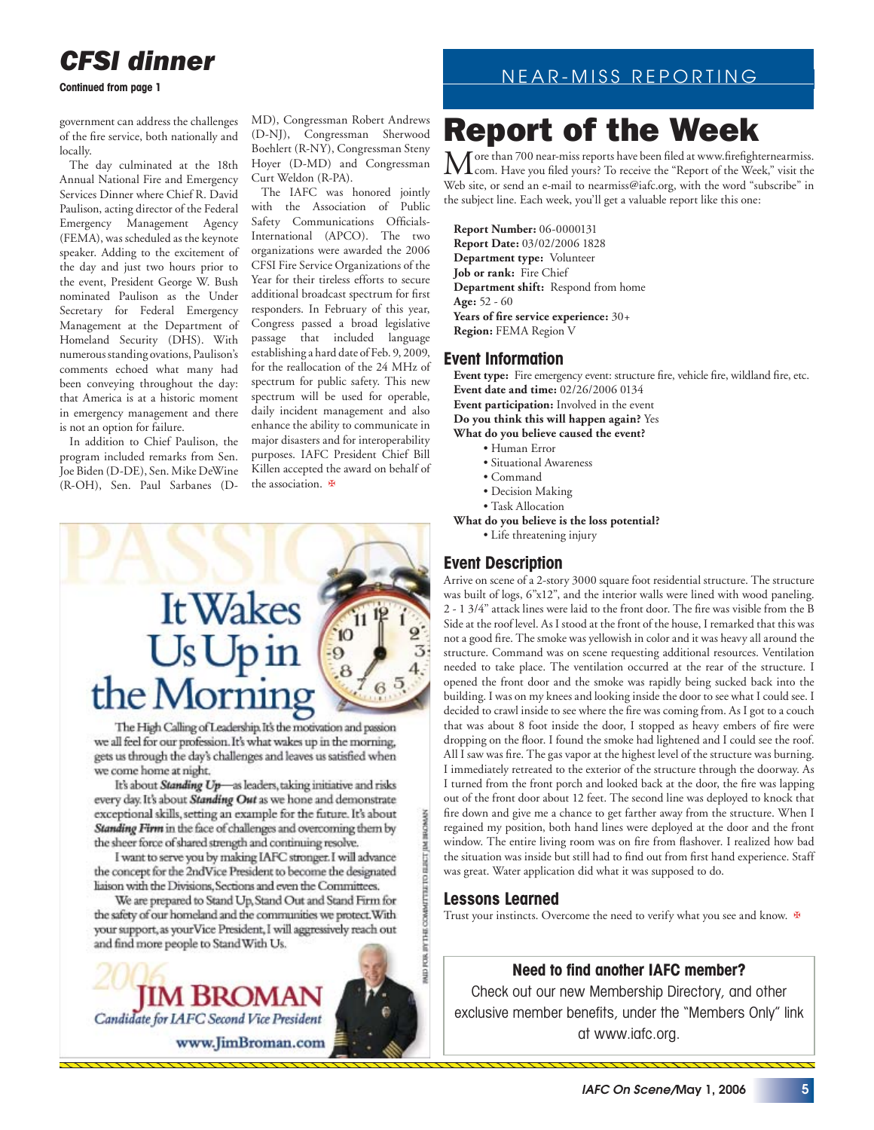### *CFSI dinner*

**Continued from page 1**

government can address the challenges of the fire service, both nationally and locally.

The day culminated at the 18th Annual National Fire and Emergency Services Dinner where Chief R. David Paulison, acting director of the Federal Emergency Management Agency (FEMA), was scheduled as the keynote speaker. Adding to the excitement of the day and just two hours prior to the event, President George W. Bush nominated Paulison as the Under Secretary for Federal Emergency Management at the Department of Homeland Security (DHS). With numerous standing ovations, Paulison's comments echoed what many had been conveying throughout the day: that America is at a historic moment in emergency management and there is not an option for failure.

In addition to Chief Paulison, the program included remarks from Sen. Joe Biden (D-DE), Sen. Mike DeWine (R-OH), Sen. Paul Sarbanes (D- MD), Congressman Robert Andrews (D-NJ), Congressman Sherwood Boehlert (R-NY), Congressman Steny Hoyer (D-MD) and Congressman Curt Weldon (R-PA).

The IAFC was honored jointly with the Association of Public Safety Communications Officials-International (APCO). The two organizations were awarded the 2006 CFSI Fire Service Organizations of the Year for their tireless efforts to secure additional broadcast spectrum for first responders. In February of this year, Congress passed a broad legislative passage that included language establishing a hard date of Feb. 9, 2009, for the reallocation of the 24 MHz of spectrum for public safety. This new spectrum will be used for operable, daily incident management and also enhance the ability to communicate in major disasters and for interoperability purposes. IAFC President Chief Bill Killen accepted the award on behalf of the association.



The High Calling of Leadership. It's the motivation and passion we all feel for our profession. It's what wakes up in the morning, gets us through the day's challenges and leaves us satisfied when we come home at night.

It's about Standing Up-as leaders, taking initiative and risks every day. It's about Standing Out as we hone and demonstrate exceptional skills, setting an example for the future. It's about Standing Firm in the face of challenges and overcoming them by the sheer force of shared strength and continuing resolve.

I want to serve you by making IAFC stronger. I will advance the concept for the 2ndVice President to become the designated liaison with the Divisions, Sections and even the Committees.

We are prepared to Stand Up, Stand Out and Stand Firm for the safety of our homeland and the communities we protect. With your support, as your Vice President, I will aggressively reach out and find more people to Stand With Us.



### NEAR-MISS REPORTING

# Report of the Week

More than 700 near-miss reports have been filed at www.firefighternearmiss.<br>Com. Have you filed yours? To receive the "Report of the Week," visit the Web site, or send an e-mail to nearmiss@iafc.org, with the word "subscribe" in the subject line. Each week, you'll get a valuable report like this one:

**Report Number:** 06-0000131 **Report Date:** 03/02/2006 1828 **Department type:** Volunteer **Job or rank:** Fire Chief **Department shift:** Respond from home **Age:** 52 - 60 Years of fire service experience:  $30+$ **Region:** FEMA Region V

### **Event Information**

Event type: Fire emergency event: structure fire, vehicle fire, wildland fire, etc. **Event date and time:** 02/26/2006 0134 **Event participation:** Involved in the event **Do you think this will happen again?** Yes **What do you believe caused the event?**  • Human Error

- Situational Awareness
- Command
- Decision Making
- Task Allocation
- **What do you believe is the loss potential?**

• Life threatening injury

### **Event Description**

Arrive on scene of a 2-story 3000 square foot residential structure. The structure was built of logs, 6"x12", and the interior walls were lined with wood paneling. 2 - 1 3/4" attack lines were laid to the front door. The fire was visible from the B Side at the roof level. As I stood at the front of the house, I remarked that this was not a good fire. The smoke was yellowish in color and it was heavy all around the structure. Command was on scene requesting additional resources. Ventilation needed to take place. The ventilation occurred at the rear of the structure. I opened the front door and the smoke was rapidly being sucked back into the building. I was on my knees and looking inside the door to see what I could see. I decided to crawl inside to see where the fire was coming from. As I got to a couch that was about 8 foot inside the door, I stopped as heavy embers of fire were dropping on the floor. I found the smoke had lightened and I could see the roof. All I saw was fire. The gas vapor at the highest level of the structure was burning. I immediately retreated to the exterior of the structure through the doorway. As I turned from the front porch and looked back at the door, the fire was lapping out of the front door about 12 feet. The second line was deployed to knock that fire down and give me a chance to get farther away from the structure. When I regained my position, both hand lines were deployed at the door and the front window. The entire living room was on fire from flashover. I realized how bad the situation was inside but still had to find out from first hand experience. Staff was great. Water application did what it was supposed to do.

### **Lessons Learned**

РОК ВУТНЕ СОММЕНЕЕ ПО ЕШЕТ ЈАМ ВИОМАЛ

Trust your instincts. Overcome the need to verify what you see and know. **₩** 

### **Need to find another IAFC member?**

Check out our new Membership Directory, and other exclusive member benefits, under the "Members Only" link at www.iafc.org.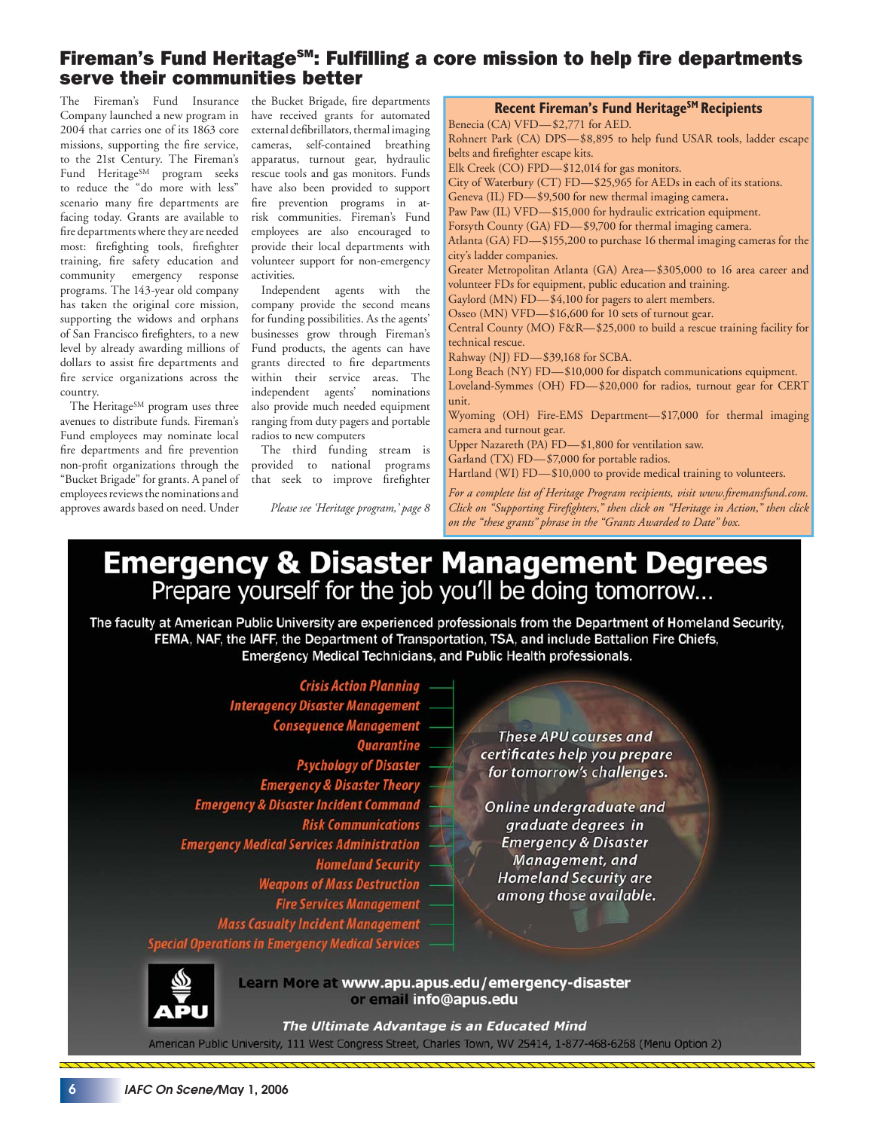### Fireman's Fund Heritage<sup>sm</sup>: Fulfilling a core mission to help fire departments serve their communities better

The Fireman's Fund Insurance the Bucket Brigade, fire departments Company launched a new program in have received grants for automated 2004 that carries one of its 1863 core missions, supporting the fire service, to the 21st Century. The Fireman's Fund Heritage<sup>SM</sup> program seeks to reduce the "do more with less" scenario many fire departments are facing today. Grants are available to fire departments where they are needed most: firefighting tools, firefighter training, fire safety education and community emergency response programs. The 143-year old company has taken the original core mission, supporting the widows and orphans of San Francisco firefighters, to a new level by already awarding millions of dollars to assist fire departments and fire service organizations across the country.

The Heritage<sup>SM</sup> program uses three avenues to distribute funds. Fireman's Fund employees may nominate local fire departments and fire prevention non-profit organizations through the "Bucket Brigade" for grants. A panel of employees reviews the nominations and approves awards based on need. Under

external defibrillators, thermal imaging cameras, self-contained breathing apparatus, turnout gear, hydraulic rescue tools and gas monitors. Funds have also been provided to support fire prevention programs in atrisk communities. Fireman's Fund employees are also encouraged to provide their local departments with volunteer support for non-emergency activities.

Independent agents with the company provide the second means for funding possibilities. As the agents' businesses grow through Fireman's Fund products, the agents can have grants directed to fire departments within their service areas. The independent agents' nominations also provide much needed equipment ranging from duty pagers and portable radios to new computers

The third funding stream is provided to national programs that seek to improve firefighter

*Please see 'Heritage program,' page 8*

**Recent Fireman's Fund Heritage<sup>SM</sup> Recipients** Benecia (CA) VFD—\$2,771 for AED. Rohnert Park (CA) DPS—\$8,895 to help fund USAR tools, ladder escape

belts and firefighter escape kits. Elk Creek (CO) FPD—\$12,014 for gas monitors.

City of Waterbury (CT) FD—\$25,965 for AEDs in each of its stations.

Geneva (IL) FD—\$9,500 for new thermal imaging camera.

Paw Paw (IL) VFD—\$15,000 for hydraulic extrication equipment.

Forsyth County (GA) FD—\$9,700 for thermal imaging camera.

Atlanta (GA) FD—\$155,200 to purchase 16 thermal imaging cameras for the city's ladder companies.

Greater Metropolitan Atlanta (GA) Area—\$305,000 to 16 area career and volunteer FDs for equipment, public education and training.

Gaylord (MN) FD—\$4,100 for pagers to alert members.

Osseo (MN) VFD—\$16,600 for 10 sets of turnout gear.

Central County (MO) F&R—\$25,000 to build a rescue training facility for technical rescue.

Rahway (NJ) FD—\$39,168 for SCBA.

Long Beach (NY) FD—\$10,000 for dispatch communications equipment. Loveland-Symmes (OH) FD—\$20,000 for radios, turnout gear for CERT unit.

Wyoming (OH) Fire-EMS Department—\$17,000 for thermal imaging camera and turnout gear.

Upper Nazareth (PA) FD—\$1,800 for ventilation saw.

Garland (TX) FD—\$7,000 for portable radios.

Hartland (WI) FD—\$10,000 to provide medical training to volunteers.

For a complete list of Heritage Program recipients, visit www.firemansfund.com. *Click on "Supporting Firefighters," then click on "Heritage in Action," then click on the "these grants" phrase in the "Grants Awarded to Date" box.* 

### **Emergency & Disaster Management Degrees** Prepare yourself for the job you'll be doing tomorrow...

The faculty at American Public University are experienced professionals from the Department of Homeland Security, FEMA, NAF, the IAFF, the Department of Transportation, TSA, and include Battalion Fire Chiefs, **Emergency Medical Technicians, and Public Health professionals.** 

**Crisis Action Planning Interagency Disaster Management Consequence Management Quarantine Psychology of Disaster Emergency & Disaster Theory Emergency & Disaster Incident Command Risk Communications Emergency Medical Services Administration Homeland Security Weapons of Mass Destruction Fire Services Management Mass Casualty Incident Management Special Operations in Emergency Medical Services** 

These APU courses and certificates help you prepare for tomorrow's challenges.

Online undergraduate and graduate degrees in **Emergency & Disaster** Management, and **Homeland Security are** among those available.

Learn More at www.apu.apus.edu/emergency-disaster or email info@apus.edu

The Ultimate Advantage is an Educated Mind American Public University, 111 West Congress Street, Charles Town, WV 25414, 1-877-468-6268 (Menu Option 2)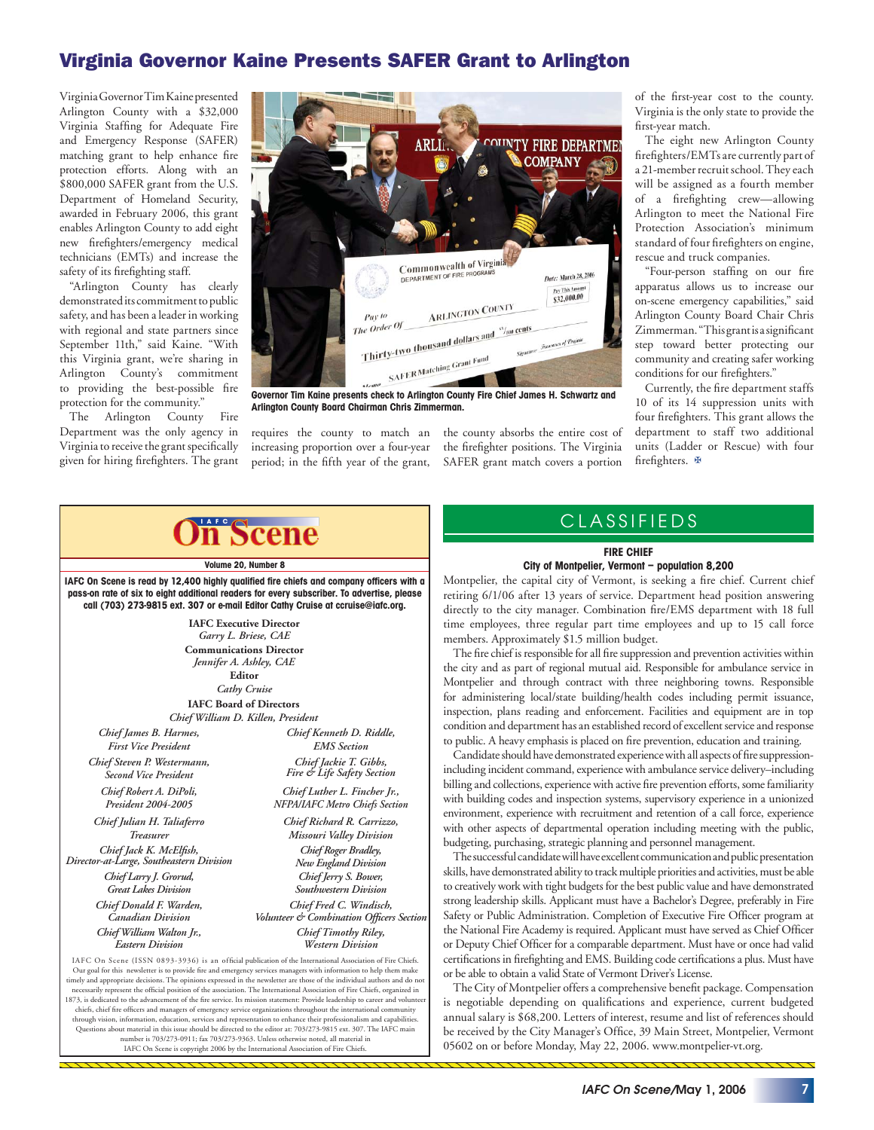### Virginia Governor Kaine Presents SAFER Grant to Arlington

Virginia Governor Tim Kaine presented Arlington County with a \$32,000 Virginia Staffing for Adequate Fire and Emergency Response (SAFER) matching grant to help enhance fire protection efforts. Along with an \$800,000 SAFER grant from the U.S. Department of Homeland Security, awarded in February 2006, this grant enables Arlington County to add eight new firefighters/emergency medical technicians (EMTs) and increase the safety of its firefighting staff.

"Arlington County has clearly demonstrated its commitment to public safety, and has been a leader in working with regional and state partners since September 11th," said Kaine. "With this Virginia grant, we're sharing in Arlington County's commitment to providing the best-possible fire protection for the community."

The Arlington County Fire Department was the only agency in Virginia to receive the grant specifically given for hiring firefighters. The grant



**Arlington County Board Chairman Chris Zimmerman.**

requires the county to match an increasing proportion over a four-year period; in the fifth year of the grant, the county absorbs the entire cost of the firefighter positions. The Virginia SAFER grant match covers a portion

of the first-year cost to the county. Virginia is the only state to provide the first-year match.

The eight new Arlington County firefighters/EMTs are currently part of a 21-member recruit school. They each will be assigned as a fourth member of a firefighting crew—allowing Arlington to meet the National Fire Protection Association's minimum standard of four firefighters on engine, rescue and truck companies.

"Four-person staffing on our fire apparatus allows us to increase our on-scene emergency capabilities," said Arlington County Board Chair Chris Zimmerman. "This grant is a significant step toward better protecting our community and creating safer working conditions for our firefighters."

Currently, the fire department staffs 10 of its 14 suppression units with four firefighters. This grant allows the department to staff two additional units (Ladder or Rescue) with four firefighters.  $\mathbf{\Phi}$ 

### **IAFC** Scene

**Volume 20, Number 8**

IAFC On Scene is read by 12,400 highly qualified fire chiefs and company officers with a **pass-on rate of six to eight additional readers for every subscriber. To advertise, please call (703) 273-9815 ext. 307 or e-mail Editor Cathy Cruise at ccruise@iafc.org.** 

> **IAFC Executive Director** *Garry L. Briese, CAE* **Communications Director** *Jennifer A. Ashley, CAE* **Editor** *Cathy Cruise* **IAFC Board of Directors**

*Chief William D. Killen, President*

*Chief James B. Harmes, First Vice President Chief Steven P. Westermann, Second Vice President Chief Robert A. DiPoli, President 2004-2005*

*Chief Julian H. Taliaferro Treasurer* Chief Jack K. McElfish, *Director-at-Large, Southeastern Division Chief Larry J. Grorud, Great Lakes Division Chief Donald F. Warden, Canadian Division Chief William Walton Jr.,* 

*Eastern Division*

*Chief Kenneth D. Riddle, EMS Section Chief Jackie T. Gibbs, Fire & Life Safety Section*

*Chief Richard R. Carrizzo, Missouri Valley Division Chief Luther L. Fincher Jr., NFPA/IAFC Metro Chiefs Section*

*Chief Roger Bradley, New England Division Chief Jerry S. Bower, Southwestern Division Chief Fred C. Windisch, Volunteer & Combination Officers Section* 

*Chief Timothy Riley, Western Division*

IAFC On Scene (ISSN 0893-3936) is an official publication of the International Association of Fire Chiefs. Our goal for this newsletter is to provide fire and emergency services managers with information to help them make<br>timely and appropriate decisions. The opinions expressed in the newsletter are those of the individual aut necessarily represent the official position of the association. The International Association of Fire Chiefs, organized in 1873, is dedicated to the advancement of the fire service. Its mission statement: Provide leadership to career and volunte chiefs, chief fire officers and managers of emergency service organizations throughout the international comthrough vision, information, education, services and representation to enhance their professionalism and capabilities.<br>Questions about material in this issue should be directed to the editor at: 703/273-9815 ext. 307. The number is 703/273-0911; fax 703/273-9363. Unless otherwise noted, all material in IAFC On Scene is copyright 2006 by the International Association of Fire Chiefs.

### CLASSIFIEDS

#### **FIRE CHIEF**

#### **City of Montpelier, Vermont – population 8,200**

Montpelier, the capital city of Vermont, is seeking a fire chief. Current chief retiring 6/1/06 after 13 years of service. Department head position answering directly to the city manager. Combination fire/EMS department with 18 full time employees, three regular part time employees and up to 15 call force members. Approximately \$1.5 million budget.

The fire chief is responsible for all fire suppression and prevention activities within the city and as part of regional mutual aid. Responsible for ambulance service in Montpelier and through contract with three neighboring towns. Responsible for administering local/state building/health codes including permit issuance, inspection, plans reading and enforcement. Facilities and equipment are in top condition and department has an established record of excellent service and response to public. A heavy emphasis is placed on fire prevention, education and training.

Candidate should have demonstrated experience with all aspects of fire suppressionincluding incident command, experience with ambulance service delivery–including billing and collections, experience with active fire prevention efforts, some familiarity with building codes and inspection systems, supervisory experience in a unionized environment, experience with recruitment and retention of a call force, experience with other aspects of departmental operation including meeting with the public, budgeting, purchasing, strategic planning and personnel management.

The successful candidate will have excellent communication and public presentation skills, have demonstrated ability to track multiple priorities and activities, must be able to creatively work with tight budgets for the best public value and have demonstrated strong leadership skills. Applicant must have a Bachelor's Degree, preferably in Fire Safety or Public Administration. Completion of Executive Fire Officer program at the National Fire Academy is required. Applicant must have served as Chief Officer or Deputy Chief Officer for a comparable department. Must have or once had valid certifications in firefighting and EMS. Building code certifications a plus. Must have or be able to obtain a valid State of Vermont Driver's License.

The City of Montpelier offers a comprehensive benefit package. Compensation is negotiable depending on qualifications and experience, current budgeted annual salary is \$68,200. Letters of interest, resume and list of references should be received by the City Manager's Office, 39 Main Street, Montpelier, Vermont 05602 on or before Monday, May 22, 2006. www.montpelier-vt.org.